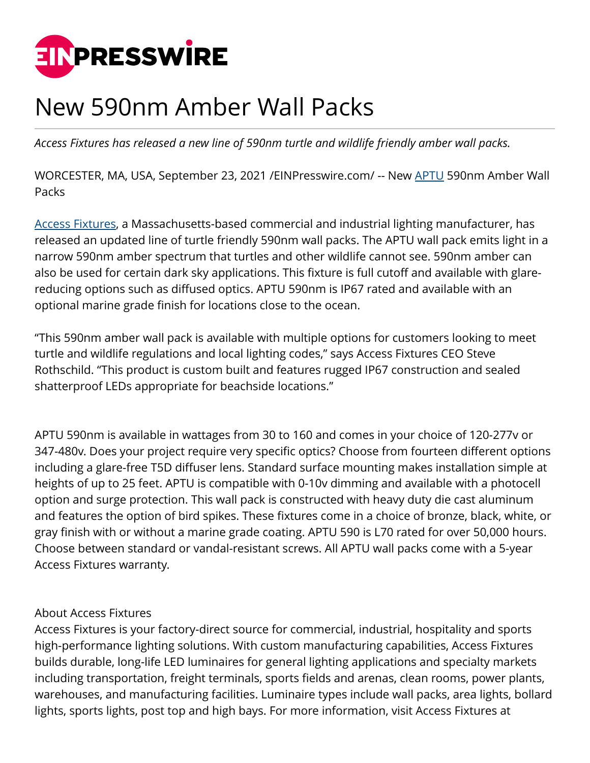

## New 590nm Amber Wall Packs

*Access Fixtures has released a new line of 590nm turtle and wildlife friendly amber wall packs.*

WORCESTER, MA, USA, September 23, 2021 [/EINPresswire.com](http://www.einpresswire.com)/ -- New [APTU](https://www.accessfixtures.com/c/turtle-friendly-led-lighting/?filter_product-family=aptu&filter_light-source=led-amber) 590nm Amber Wall **Packs** 

[Access Fixtures](http://www.accessfixtures.com), a Massachusetts-based commercial and industrial lighting manufacturer, has released an updated line of turtle friendly 590nm wall packs. The APTU wall pack emits light in a narrow 590nm amber spectrum that turtles and other wildlife cannot see. 590nm amber can also be used for certain dark sky applications. This fixture is full cutoff and available with glarereducing options such as diffused optics. APTU 590nm is IP67 rated and available with an optional marine grade finish for locations close to the ocean.

"This 590nm amber wall pack is available with multiple options for customers looking to meet turtle and wildlife regulations and local lighting codes," says Access Fixtures CEO Steve Rothschild. "This product is custom built and features rugged IP67 construction and sealed shatterproof LEDs appropriate for beachside locations."

APTU 590nm is available in wattages from 30 to 160 and comes in your choice of 120-277v or 347-480v. Does your project require very specific optics? Choose from fourteen different options including a glare-free T5D diffuser lens. Standard surface mounting makes installation simple at heights of up to 25 feet. APTU is compatible with 0-10v dimming and available with a photocell option and surge protection. This wall pack is constructed with heavy duty die cast aluminum and features the option of bird spikes. These fixtures come in a choice of bronze, black, white, or gray finish with or without a marine grade coating. APTU 590 is L70 rated for over 50,000 hours. Choose between standard or vandal-resistant screws. All APTU wall packs come with a 5-year Access Fixtures warranty.

## About Access Fixtures

Access Fixtures is your factory-direct source for commercial, industrial, hospitality and sports high-performance lighting solutions. With custom manufacturing capabilities, Access Fixtures builds durable, long-life LED luminaires for general lighting applications and specialty markets including transportation, freight terminals, sports fields and arenas, clean rooms, power plants, warehouses, and manufacturing facilities. Luminaire types include wall packs, area lights, bollard lights, sports lights, post top and high bays. For more information, visit Access Fixtures at